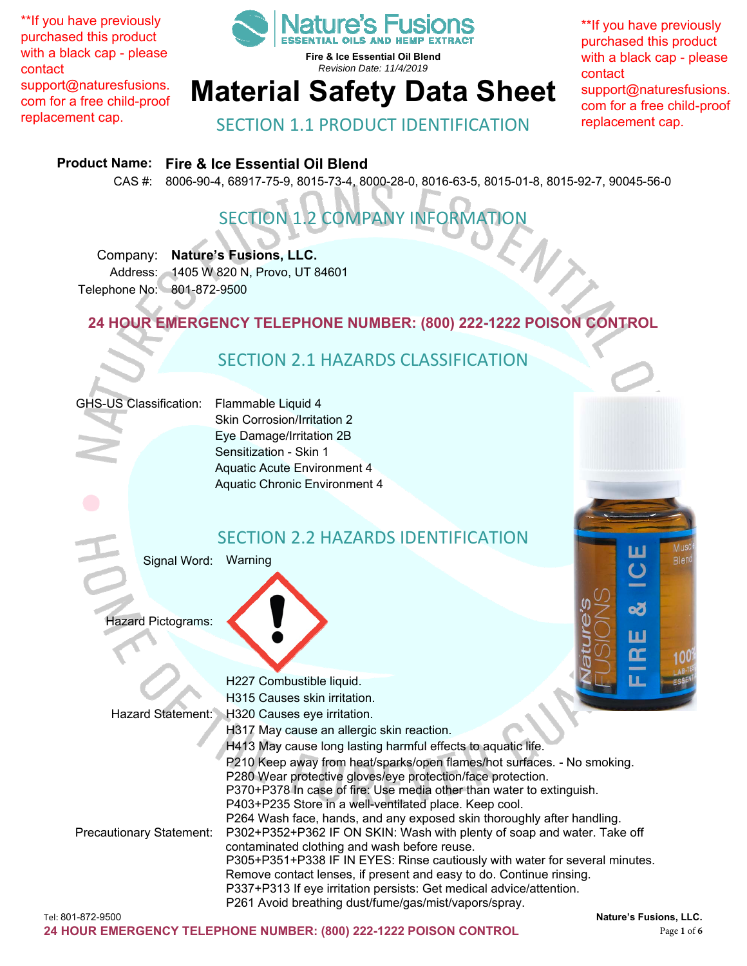\*\*If you have previously purchased this product with a black cap - please contact support@naturesfusions. com for a free child-proof replacement cap.



**Fire & Ice Essential Oil Blend**  *Revision Date: 11/4/2019* 

# **Material Safety Data Sheet**

\*\*If you have previously purchased this product with a black cap - please contact support@naturesfusions. com for a free child-proof replacement cap.

SECTION 1.1 PRODUCT IDENTIFICATION

#### **Product Name: Fire & Ice Essential Oil Blend**

CAS #: 8006-90-4, 68917-75-9, 8015-73-4, 8000-28-0, 8016-63-5, 8015-01-8, 8015-92-7, 90045-56-0

# SECTION 1.2 COMPANY INFORMATION

Company: **Nature's Fusions, LLC.**  Address: 1405 W 820 N, Provo, UT 84601 Telephone No: 801-872-9500

**24 HOUR EMERGENCY TELEPHONE NUMBER: (800) 222-1222 POISON CONTROL** 

#### SECTION 2.1 HAZARDS CLASSIFICATION

#### GHS-US Classification: Flammable Liquid 4

Skin Corrosion/Irritation 2 Eye Damage/Irritation 2B Sensitization - Skin 1 Aquatic Acute Environment 4 Aquatic Chronic Environment 4

#### SECTION 2.2 HAZARDS IDENTIFICATION

Signal Word: Warning

Hazard Pictograms:

|                                 | H227 Combustible liquid.                                                    |
|---------------------------------|-----------------------------------------------------------------------------|
|                                 | H315 Causes skin irritation.                                                |
|                                 | Hazard Statement: H320 Causes eye irritation.                               |
|                                 | H317 May cause an allergic skin reaction.                                   |
|                                 | H413 May cause long lasting harmful effects to aquatic life.                |
|                                 | P210 Keep away from heat/sparks/open flames/hot surfaces. - No smoking.     |
|                                 | P280 Wear protective gloves/eye protection/face protection.                 |
|                                 | P370+P378 In case of fire: Use media other than water to extinguish.        |
|                                 | P403+P235 Store in a well-ventilated place. Keep cool.                      |
|                                 | P264 Wash face, hands, and any exposed skin thoroughly after handling.      |
| <b>Precautionary Statement:</b> | P302+P352+P362 IF ON SKIN: Wash with plenty of soap and water. Take off     |
|                                 | contaminated clothing and wash before reuse.                                |
|                                 | P305+P351+P338 IF IN EYES: Rinse cautiously with water for several minutes. |
|                                 | Remove contact lenses, if present and easy to do. Continue rinsing.         |
|                                 | P337+P313 If eye irritation persists: Get medical advice/attention.         |
|                                 | P261 Avoid breathing dust/fume/gas/mist/vapors/spray.                       |
| Tel: 801-872-9500               | Nature's Fusions, LLC.                                                      |
|                                 |                                                                             |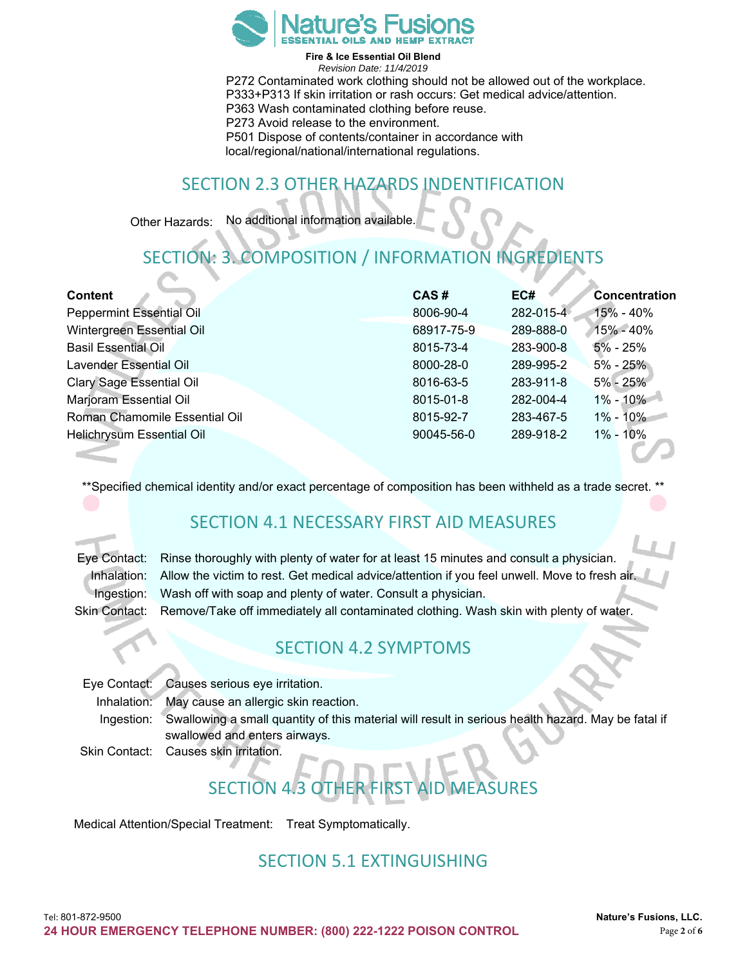

**Fire & Ice Essential Oil Blend**  *Revision Date: 11/4/2019* 

P272 Contaminated work clothing should not be allowed out of the workplace. P333+P313 If skin irritation or rash occurs: Get medical advice/attention. P363 Wash contaminated clothing before reuse. P273 Avoid release to the environment. P501 Dispose of contents/container in accordance with local/regional/national/international regulations.

#### SECTION 2.3 OTHER HAZARDS INDENTIFICATION

Other Hazards: No additional information available.

# SECTION: 3. COMPOSITION / INFORMATION INGREDIENTS

| <b>Content</b>                  | CAS#       | EC#       | Concentration |
|---------------------------------|------------|-----------|---------------|
| <b>Peppermint Essential Oil</b> | 8006-90-4  | 282-015-4 | 15% - 40%     |
| Wintergreen Essential Oil       | 68917-75-9 | 289-888-0 | 15% - 40%     |
| <b>Basil Essential Oil</b>      | 8015-73-4  | 283-900-8 | $5\% - 25\%$  |
| Lavender Essential Oil          | 8000-28-0  | 289-995-2 | $5\% - 25\%$  |
| <b>Clary Sage Essential Oil</b> | 8016-63-5  | 283-911-8 | $5\% - 25\%$  |
| Marjoram Essential Oil          | 8015-01-8  | 282-004-4 | $1\% - 10\%$  |
| Roman Chamomile Essential Oil   | 8015-92-7  | 283-467-5 | $1\% - 10\%$  |
| Helichrysum Essential Oil       | 90045-56-0 | 289-918-2 | $1\% - 10\%$  |

\*\*Specified chemical identity and/or exact percentage of composition has been withheld as a trade secret.

#### SECTION 4.1 NECESSARY FIRST AID MEASURES

| Eye Contact: Rinse thoroughly with plenty of water for at least 15 minutes and consult a physician.       |
|-----------------------------------------------------------------------------------------------------------|
| Inhalation: Allow the victim to rest. Get medical advice/attention if you feel unwell. Move to fresh air. |
| Ingestion: Wash off with soap and plenty of water. Consult a physician.                                   |
| Skin Contact: Remove/Take off immediately all contaminated clothing. Wash skin with plenty of water.      |

#### SECTION 4.2 SYMPTOMS

Eye Contact: Causes serious eye irritation. Inhalation: May cause an allergic skin reaction. Ingestion: Swallowing a small quantity of this material will result in serious health hazard. May be fatal if swallowed and enters airways. Skin Contact: Causes skin irritation.

# **SECTION 4/3**

Medical Attention/Special Treatment: Treat Symptomatically.

#### SECTION 5.1 EXTINGUISHING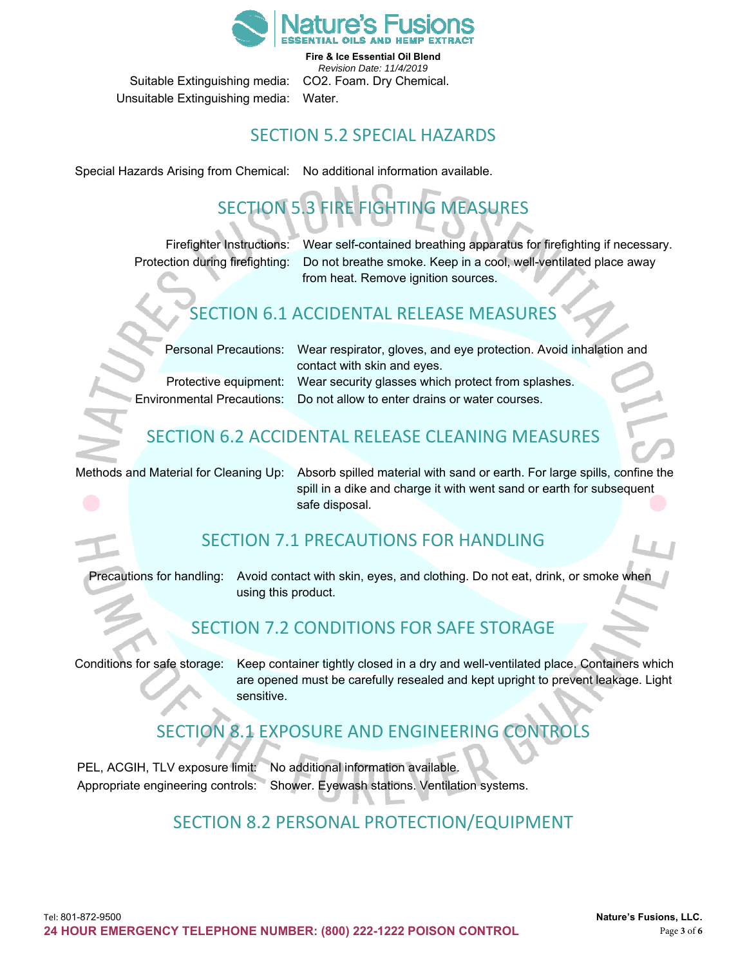

**Fire & Ice Essential Oil Blend**  *Revision Date: 11/4/2019*  Suitable Extinguishing media: CO2. Foam. Dry Chemical.

Unsuitable Extinguishing media: Water.

#### SECTION 5.2 SPECIAL HAZARDS

Special Hazards Arising from Chemical: No additional information available.

# SECTION 5.3 FIRE FIGHTING MEASURES

Firefighter Instructions: Wear self-contained breathing apparatus for firefighting if necessary. Protection during firefighting: Do not breathe smoke. Keep in a cool, well-ventilated place away from heat. Remove ignition sources.

#### SECTION 6.1 ACCIDENTAL RELEASE MEASURES

Personal Precautions: Wear respirator, gloves, and eye protection. Avoid inhalation and contact with skin and eyes. Protective equipment: Wear security glasses which protect from splashes.

Environmental Precautions: Do not allow to enter drains or water courses.

## SECTION 6.2 ACCIDENTAL RELEASE CLEANING MEASURES

Methods and Material for Cleaning Up: Absorb spilled material with sand or earth. For large spills, confine the spill in a dike and charge it with went sand or earth for subsequent safe disposal.

#### SECTION 7.1 PRECAUTIONS FOR HANDLING

Precautions for handling: Avoid contact with skin, eyes, and clothing. Do not eat, drink, or smoke when using this product.

#### SECTION 7.2 CONDITIONS FOR SAFE STORAGE

Conditions for safe storage: Keep container tightly closed in a dry and well-ventilated place. Containers which are opened must be carefully resealed and kept upright to prevent leakage. Light sensitive.

## SECTION 8.1 EXPOSURE AND ENGINEERING CON

PEL, ACGIH, TLV exposure limit: No additional information available. Appropriate engineering controls: Shower. Eyewash stations. Ventilation systems.

#### SECTION 8.2 PERSONAL PROTECTION/EQUIPMENT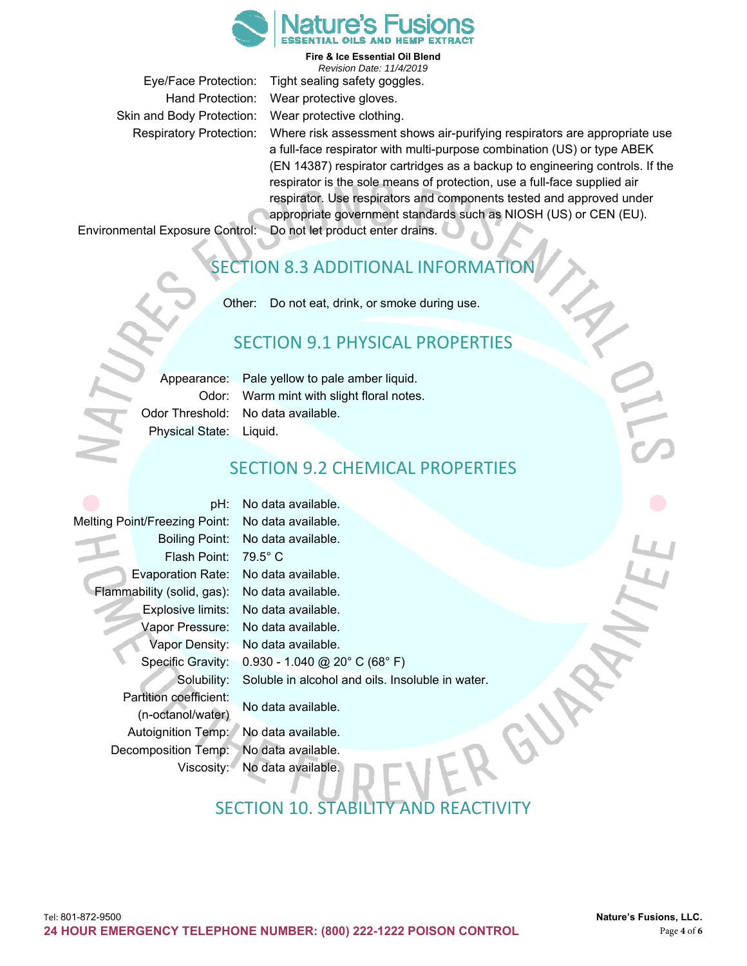

Skin and Body Protection: Wear protective clothing.

**Fire & Ice Essential Oil Blend**  *Revision Date: 11/4/2019*  Eye/Face Protection: Tight sealing safety goggles. Hand Protection: Wear protective gloves.

Respiratory Protection: Where risk assessment shows air-purifying respirators are appropriate use a full-face respirator with multi-purpose combination (US) or type ABEK (EN 14387) respirator cartridges as a backup to engineering controls. If the respirator is the sole means of protection, use a full-face supplied air respirator. Use respirators and components tested and approved under appropriate government standards such as NIOSH (US) or CEN (EU).

Environmental Exposure Control: Do not let product enter drains.

#### SECTION 8.3 ADDITIONAL INFORMATIO

Other: Do not eat, drink, or smoke during use.

#### SECTION 9.1 PHYSICAL PROPERTIES

|                         | Appearance: Pale yellow to pale amber liquid. |
|-------------------------|-----------------------------------------------|
|                         | Odor: Warm mint with slight floral notes.     |
|                         | Odor Threshold:   No data available.          |
| Physical State: Liquid. |                                               |

#### SECTION 9.2 CHEMICAL PROPERTIES

|                                      | pH:                        | No data available.                               |  |
|--------------------------------------|----------------------------|--------------------------------------------------|--|
| <b>Melting Point/Freezing Point:</b> |                            | No data available.                               |  |
|                                      | Boiling Point:             | No data available.                               |  |
|                                      | Flash Point:               | $79.5^\circ$ C                                   |  |
|                                      | <b>Evaporation Rate:</b>   | No data available.                               |  |
|                                      | Flammability (solid, gas): | No data available.                               |  |
|                                      | Explosive limits:          | No data available.                               |  |
|                                      | Vapor Pressure:            | No data available.                               |  |
|                                      | Vapor Density:             | No data available.                               |  |
|                                      | Specific Gravity:          | $0.930 - 1.040$ @ 20° C (68° F)                  |  |
|                                      | Solubility:                | Soluble in alcohol and oils. Insoluble in water. |  |
| Partition coefficient:               |                            |                                                  |  |
|                                      | (n-octanol/water)          | No data available.                               |  |
|                                      | Autoignition Temp:         | No data available.                               |  |
| Decomposition Temp:                  |                            | No data available.                               |  |
| Viscosity:1                          |                            | No data available.                               |  |

## SECTION 10 STABILITY AND REACTIVITY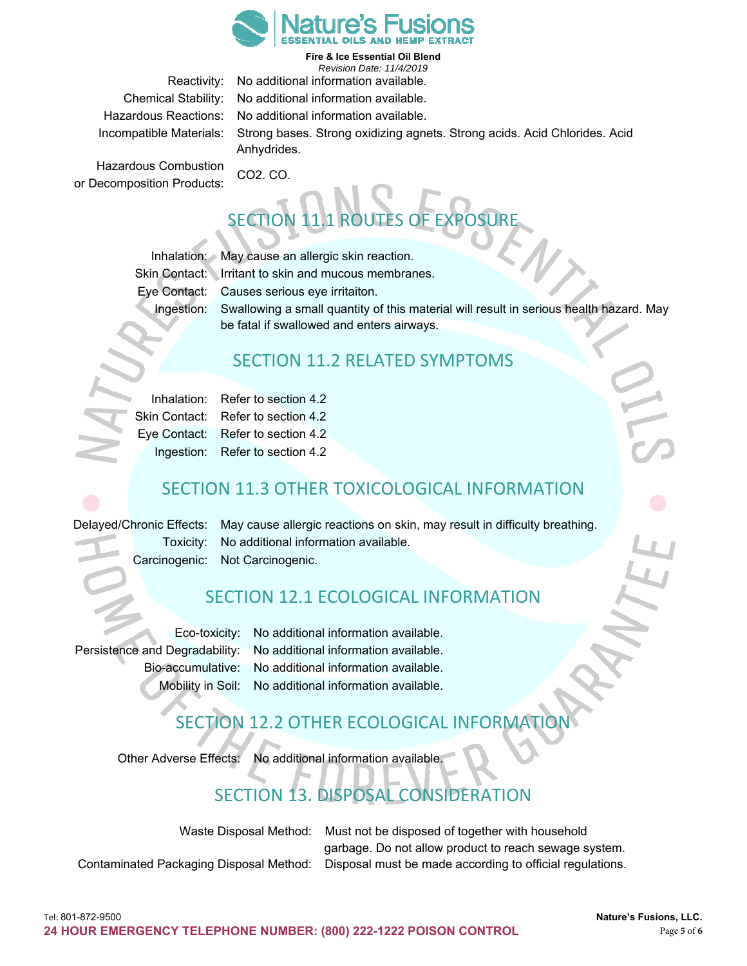

**Fire & Ice Essential Oil Blend**  *Revision Date: 11/4/2019* 

Reactivity: No additional information available. Chemical Stability: No additional information available.

Hazardous Reactions: No additional information available. Incompatible Materials: Strong bases. Strong oxidizing agnets. Strong acids. Acid Chlorides. Acid Anhydrides.

Hazardous Combustion CO2. CO. or Decomposition Products:

# SECTION 11.1 ROUTES OF EXPOSURE

Inhalation: May cause an allergic skin reaction.

Skin Contact: Irritant to skin and mucous membranes.

Eye Contact: Causes serious eye irritaiton.

Ingestion: Swallowing a small quantity of this material will result in serious health hazard. May be fatal if swallowed and enters airways.

#### SECTION 11.2 RELATED SYMPTOMS

|  | Inhalation: Refer to section 4.2   |
|--|------------------------------------|
|  | Skin Contact: Refer to section 4.2 |
|  | Eye Contact: Refer to section 4.2  |
|  | Ingestion: Refer to section 4.2    |

#### SECTION 11.3 OTHER TOXICOLOGICAL INFORMATION

Delayed/Chronic Effects: May cause allergic reactions on skin, may result in difficulty breathing. Toxicity: No additional information available. Carcinogenic: Not Carcinogenic.

#### SECTION 12.1 ECOLOGICAL INFORMATION

Eco-toxicity: No additional information available. Persistence and Degradability: No additional information available. Bio-accumulative: No additional information available. Mobility in Soil: No additional information available.

## SECTION 12.2 OTHER ECOLOGICAL INFORMATIO

Other Adverse Effects: No additional information available.

## SECTION 13. DISPOSAL CONSIDERATION

Waste Disposal Method: Must not be disposed of together with household garbage. Do not allow product to reach sewage system. Contaminated Packaging Disposal Method: Disposal must be made according to official regulations.